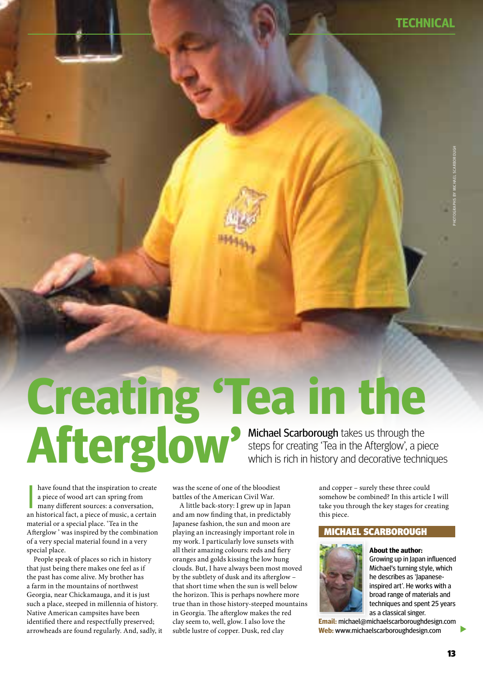**TECHNICAL**

# **Creating 'Tea in the Afterglow'** Michael Scarborough takes us through the steps for creating 'Tea in the Afterglow', a piece which is rich in history and decorative techniques

have found that the inspiration to create<br>a piece of wood art can spring from<br>many different sources: a conversation,<br>an historical fact, a piece of music, a certain have found that the inspiration to create a piece of wood art can spring from many different sources: a conversation, material or a special place. 'Tea in the Afterglow ' was inspired by the combination of a very special material found in a very special place.

People speak of places so rich in history that just being there makes one feel as if the past has come alive. My brother has a farm in the mountains of northwest Georgia, near Chickamauga, and it is just such a place, steeped in millennia of history. Native American campsites have been identified there and respectfully preserved; arrowheads are found regularly. And, sadly, it was the scene of one of the bloodiest battles of the American Civil War.

A little back-story: I grew up in Japan and am now finding that, in predictably Japanese fashion, the sun and moon are playing an increasingly important role in my work. I particularly love sunsets with all their amazing colours: reds and fiery oranges and golds kissing the low hung clouds. But, I have always been most moved by the subtlety of dusk and its afterglow – that short time when the sun is well below the horizon. This is perhaps nowhere more true than in those history-steeped mountains in Georgia. The afterglow makes the red clay seem to, well, glow. I also love the subtle lustre of copper. Dusk, red clay

and copper – surely these three could somehow be combined? In this article I will take you through the key stages for creating this piece.

# Michael scarborough



**About the author:** Growing up in Japan influenced Michael's turning style, which he describes as 'Japaneseinspired art'. He works with a broad range of materials and techniques and spent 25 years as a classical singer.

**Email:** michael@michaelscarboroughdesign.com **Web:** www.michaelscarboroughdesign.com

 $\blacktriangleright$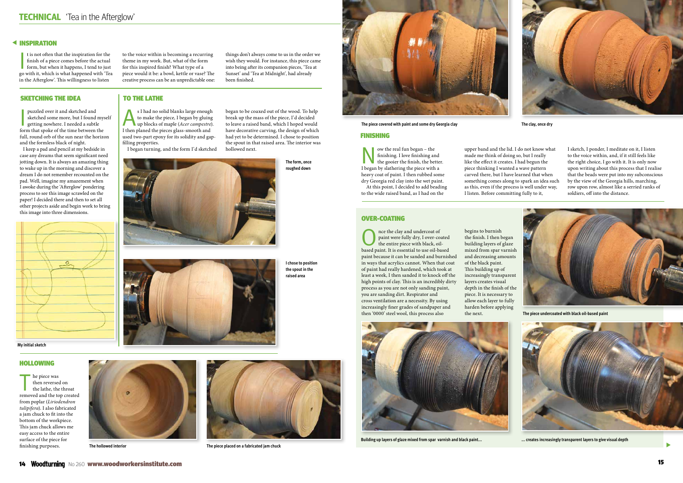# **< INSPIRATION**

t is not often that the inspiration for the<br>finish of a piece comes before the actual<br>form, but when it happens, I tend to just<br>go with it, which is what happened with 'Tea t is not often that the inspiration for the finish of a piece comes before the actual form, but when it happens, I tend to just in the Afterglow'. This willingness to listen

# SKETCHING THE IDEA TO THE LATHE

to the voice within is becoming a recurring theme in my work. But, what of the form for this inspired finish? What type of a piece would it be: a bowl, kettle or vase? The creative process can be an unpredictable one:

puzzled over it and sketched and<br>sketched some more, but I found mys<br>getting nowhere. I needed a subtle<br>form that spoke of the time between the puzzled over it and sketched and sketched some more, but I found myself getting nowhere. I needed a subtle full, round orb of the sun near the horizon and the formless black of night.

things don't always come to us in the order we wish they would. For instance, this piece came into being after its companion pieces, 'Tea at Sunset' and 'Tea at Midnight', had already been finished.



The piece was<br>then reversed on<br>the lathe, the throat<br>distribution then reversed on removed and the top created from poplar (*Liriodendron tulipifera*). I also fabricated a jam chuck to fit into the bottom of the workpiece. This jam chuck allows me easy access to the entire surface of the piece for finishing purposes.



 I keep a pad and pencil at my bedside in case any dreams that seem significant need jotting down. It is always an amazing thing to wake up in the morning and discover a dream I do not remember recounted on the pad. Well, imagine my amazement when I awoke during the 'Afterglow' pondering process to see this image scrawled on the paper! I decided there and then to set all other projects aside and begin work to bring this image into three dimensions.



Now the real fun began – the<br>finishing. I love finish, the better.<br>He gooier the finish, the better. finishing. I love finishing and I began by slathering the piece with a heavy coat of paint. I then rubbed some dry Georgia red clay into the wet paint. At this point, I decided to add beading

As I had no solid blanks large enough up blocks of maple (*Acer campestre*). to make the piece, I began by gluing I then planed the pieces glass-smooth and used two-part epoxy for its solidity and gapfilling properties.

I began turning, and the form I'd sketched

began to be coaxed out of the wood. To help

break up the mass of the piece, I'd decided to leave a raised band, which I hoped would have decorative carving, the design of which had yet to be determined. I chose to position the spout in that raised area. The interior was hollowed next.

> Once the clay and undercoat of<br>
> the entire piece with black, oil-<br>
> black, oilpaint were fully dry, I over-coated based paint. It is essential to use oil-based paint because it can be sanded and burnished in ways that acrylics cannot. When that coat of paint had really hardened, which took at least a week, I then sanded it to knock off the high points of clay. This is an incredibly dirty process as you are not only sanding paint, you are sanding dirt. Respirator and cross ventilation are a necessity. By using increasingly finer grades of sandpaper and then '0000' steel wool, this process also

# Hollowing

#### Finishing

to the wide raised band, as I had on the

upper band and the lid. I do not know what made me think of doing so, but I really like the effect it creates. I had begun the piece thinking I wanted a wave pattern carved there, but I have learned that when something comes along to spark an idea such as this, even if the process is well under way, I listen. Before committing fully to it,

# **OVER-COATING**

I sketch, I ponder, I meditate on it, I listen to the voice within, and, if it still feels like the right choice, I go with it. It is only now upon writing about this process that I realise that the beads were put into my subconscious by the view of the Georgia hills, marching, row upon row, almost like a serried ranks of soldiers, off into the distance.

begins to burnish the finish. I then began building layers of glaze mixed from spar varnish and decreasing amounts of the black paint. This building up of increasingly transparent layers creates visual depth in the finish of the piece. It is necessary to allow each layer to fully harden before applying the next.

**I chose to position the spout in the raised area**





**The hollowed interior The piece placed on a fabricated jam chuck**



#### **The piece covered with paint and some dry Georgia clay The clay, once dry**



**Building up layers of glaze mixed from spar varnish and black paint... ... creates increasingly transparent layers to give visual depth**





**The piece undercoated with black oil-based paint**



 $\blacktriangleright$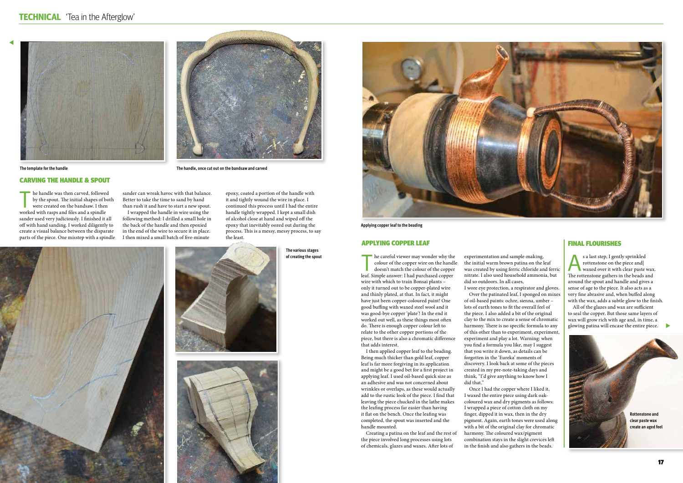







#### Applying copper leaf

he handle was then carved, followed by the spout. The initial shapes of both were created on the bandsaw. I then worked with rasps and files and a spindle sander used very judiciously. I finished it all off with hand sanding. I worked diligently to create a visual balance between the disparate parts of the piece. One misstep with a spindle sander can wreak havoc with that balance. Better to take the time to sand by hand than rush it and have to start a new spout.

I wrapped the handle in wire using the following method: I drilled a small hole in the back of the handle and then epoxied in the end of the wire to secure it in place. I then mixed a small batch of five-minute

> he careful viewer may wonder why the colour of the copper wire on the handle doesn't match the colour of the copper leaf. Simple answer: I had purchased copper wire with which to train Bonsai plants – only it turned out to be copper-plated wire and thinly plated, at that. In fact, it might have just been copper-coloured paint! One good buffing with waxed steel wool and it was good-bye copper 'plate'! In the end it worked out well, as these things most often do. There is enough copper colour left to relate to the other copper portions of the piece, but there is also a chromatic difference that adds interest.

epoxy, coated a portion of the handle with it and tightly wound the wire in place. I continued this process until I had the entire handle tightly wrapped. I kept a small dish of alcohol close at hand and wiped off the epoxy that inevitably oozed out during the process. This is a messy, messy process, to say the least.

# Carving the handle & spout

I then applied copper leaf to the beading. Being much thicker than gold leaf, copper leaf is far more forgiving in its application and might be a good bet for a first project in applying leaf. I used oil-based quick size as an adhesive and was not concerned about wrinkles or overlaps, as these would actually add to the rustic look of the piece. I find that leaving the piece chucked in the lathe makes the leafing process far easier than having it flat on the bench. Once the leafing was completed, the spout was inserted and the handle mounted.

s a last step, I gently sprinkled<br>
rottenstone on the piece and<br>
waxed over it with clear paste wax. rottenstone on the piece and| The rottenstone gathers in the beads and around the spout and handle and gives a sense of age to the piece. It also acts as a very fine abrasive and, when buffed along with the wax, adds a subtle glow to the finish.

Creating a patina on the leaf and the rest of the piece involved long processes using lots of chemicals, glazes and waxes. After lots of

experimentation and sample-making, the initial warm brown patina on the leaf was created by using ferric chloride and ferric nitrate. I also used household ammonia, but did so outdoors. In all cases, I wore eye protection, a respirator and gloves.

Over the patinated leaf, I sponged on mixes of oil-based paints: ochre, sienna, umber – lots of earth tones to fit the overall feel of the piece. I also added a bit of the original clay to the mix to create a sense of chromatic harmony. There is no specific formula to any of this other than to experiment, experiment, experiment and play a lot. Warning: when you find a formula you like, may I suggest that you write it down, as details can be forgotten in the 'Eureka' moments of discovery. I look back at some of the pieces created in my pre-note-taking days and think, "I'd give anything to know how I did that."

Once I had the copper where I liked it, I waxed the entire piece using dark oakcoloured wax and dry pigments as follows: I wrapped a piece of cotton cloth on my finger, dipped it in wax, then in the dry pigment. Again, earth tones were used along with a bit of the original clay for chromatic harmony. The coloured wax/pigment combination stays in the slight crevices left in the finish and also gathers in the beads.

### Final flourishes

All of the glazes and wax are sufficient to seal the copper. But those same layers of wax will grow rich with age and, in time, a glowing patina will encase the entire piece.



**The template for the handle The handle, once cut out on the bandsaw and carved**

**The various stages of creating the spout**



**Applying copper leaf to the beading**



 $\overline{a}$